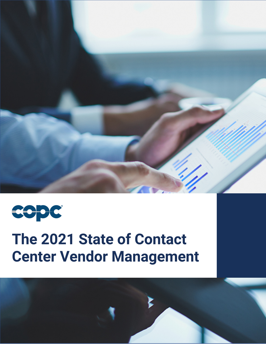



# **The 2021 State of Contact Center Vendor Management**

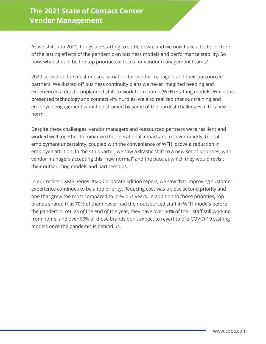# **The 2021 State of Contact Center Vendor Management**

As we shift into 2021, things are starting to settle down, and we now have a better picture of the lasting effects of the pandemic on business models and performance stability. So now, what should be the top priorities of focus for vendor management teams?

2020 served up the most unusual situation for vendor managers and their outsourced partners. We dusted off business continuity plans we never imagined needing and experienced a drastic unplanned shift to work-from-home (WFH) staffing models. While this presented technology and connectivity hurdles, we also realized that our training and employee engagement would be strained by some of the hardest challenges in this new norm.

Despite these challenges, vendor managers and outsourced partners were resilient and worked well together to minimize the operational impact and recover quickly. Global employment uncertainty, coupled with the convenience of WFH, drove a reduction in employee attrition. In the 4th quarter, we saw a drastic shift to a new set of priorities, with vendor managers accepting this "new normal" and the pace at which they would revisit their outsourcing models and partnerships.

In our recent CXMB Series 2020 Corporate Edition report, we saw that improving customer experience continues to be a top priority. Reducing cost was a close second priority and one that grew the most compared to previous years. In addition to those priorities, top brands shared that 70% of them never had their outsourced staff in WFH models before the pandemic. Yet, as of the end of the year, they have over 50% of their staff still working from home, and over 60% of those brands don't expect to revert to pre-COVID-19 staffing models once the pandemic is behind us.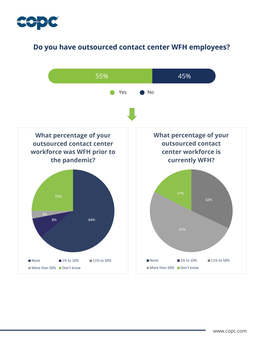

# **Do you have outsourced contact center WFH employees?**

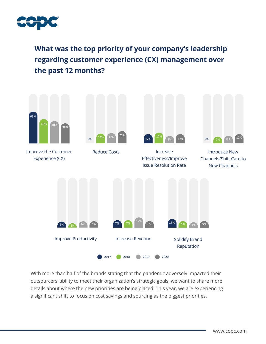

**What was the top priority of your company's leadership regarding customer experience (CX) management over the past 12 months?**



With more than half of the brands stating that the pandemic adversely impacted their outsourcers' ability to meet their organization's strategic goals, we want to share more details about where the new priorities are being placed. This year, we are experiencing a significant shift to focus on cost savings and sourcing as the biggest priorities.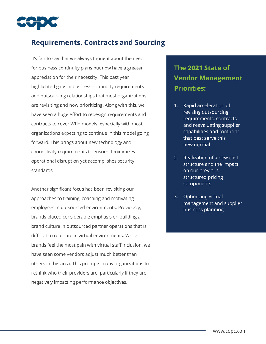

## **Requirements, Contracts and Sourcing**

It's fair to say that we always thought about the need for business continuity plans but now have a greater appreciation for their necessity. This past year highlighted gaps in business continuity requirements and outsourcing relationships that most organizations are revisiting and now prioritizing. Along with this, we have seen a huge effort to redesign requirements and contracts to cover WFH models, especially with most organizations expecting to continue in this model going forward. This brings about new technology and connectivity requirements to ensure it minimizes operational disruption yet accomplishes security standards.

Another significant focus has been revisiting our approaches to training, coaching and motivating employees in outsourced environments. Previously, brands placed considerable emphasis on building a brand culture in outsourced partner operations that is difficult to replicate in virtual environments. While brands feel the most pain with virtual staff inclusion, we have seen some vendors adjust much better than others in this area. This prompts many organizations to rethink who their providers are, particularly if they are negatively impacting performance objectives.

# **The 2021 State of Vendor Management Priorities:**

- 1. Rapid acceleration of revising outsourcing requirements, contracts and reevaluating supplier capabilities and footprint that best serve this new normal
- 2. Realization of a new cost structure and the impact on our previous structured pricing components
- 3. Optimizing virtual management and supplier business planning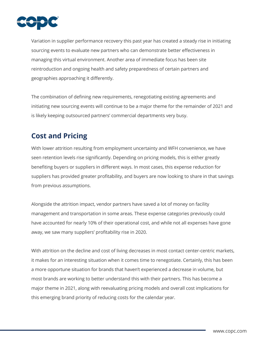

Variation in supplier performance recovery this past year has created a steady rise in initiating sourcing events to evaluate new partners who can demonstrate better effectiveness in managing this virtual environment. Another area of immediate focus has been site reintroduction and ongoing health and safety preparedness of certain partners and geographies approaching it differently.

The combination of defining new requirements, renegotiating existing agreements and initiating new sourcing events will continue to be a major theme for the remainder of 2021 and is likely keeping outsourced partners' commercial departments very busy.

## **Cost and Pricing**

With lower attrition resulting from employment uncertainty and WFH convenience, we have seen retention levels rise significantly. Depending on pricing models, this is either greatly benefiting buyers or suppliers in different ways. In most cases, this expense reduction for suppliers has provided greater profitability, and buyers are now looking to share in that savings from previous assumptions.

Alongside the attrition impact, vendor partners have saved a lot of money on facility management and transportation in some areas. These expense categories previously could have accounted for nearly 10% of their operational cost, and while not all expenses have gone away, we saw many suppliers' profitability rise in 2020.

With attrition on the decline and cost of living decreases in most contact center-centric markets, it makes for an interesting situation when it comes time to renegotiate. Certainly, this has been a more opportune situation for brands that haven't experienced a decrease in volume, but most brands are working to better understand this with their partners. This has become a major theme in 2021, along with reevaluating pricing models and overall cost implications for this emerging brand priority of reducing costs for the calendar year.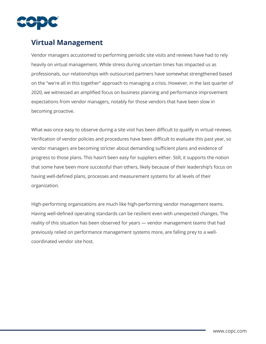

# **Virtual Management**

Vendor managers accustomed to performing periodic site visits and reviews have had to rely heavily on virtual management. While stress during uncertain times has impacted us as professionals, our relationships with outsourced partners have somewhat strengthened based on the "we're all in this together" approach to managing a crisis. However, in the last quarter of 2020, we witnessed an amplified focus on business planning and performance improvement expectations from vendor managers, notably for those vendors that have been slow in becoming proactive.

What was once easy to observe during a site visit has been difficult to qualify in virtual reviews. Verification of vendor policies and procedures have been difficult to evaluate this past year, so vendor managers are becoming stricter about demanding sufficient plans and evidence of progress to those plans. This hasn't been easy for suppliers either. Still, it supports the notion that some have been more successful than others, likely because of their leadership's focus on having well-defined plans, processes and measurement systems for all levels of their organization.

High-performing organizations are much like high-performing vendor management teams. Having well-defined operating standards can be resilient even with unexpected changes. The reality of this situation has been observed for years — vendor management teams that had previously relied on performance management systems more, are falling prey to a wellcoordinated vendor site host.